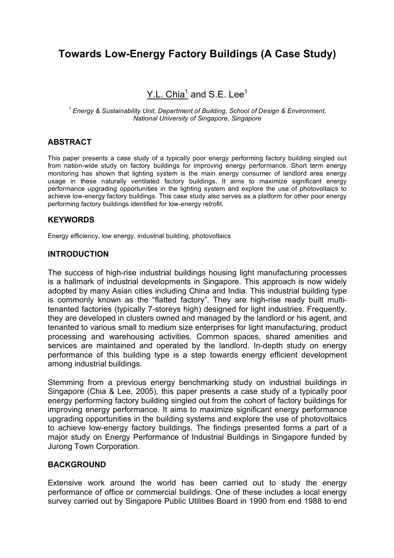# **Towards Low-Energy Factory Buildings (A Case Study)**

# Y.L. Chia<sup>1</sup> and S.E. Lee<sup>1</sup>

*<sup>1</sup> Energy & Sustainability Unit, Department of Building, School of Design & Environment, National University of Singapore, Singapore*

## **ABSTRACT**

This paper presents a case study of a typically poor energy performing factory building singled out from nation-wide study on factory buildings for improving energy performance. Short term energy monitoring has shown that lighting system is the main energy consumer of landlord area energy usage in these naturally ventilated factory buildings. It aims to maximize significant energy performance upgrading opportunities in the lighting system and explore the use of photovoltaics to achieve low-energy factory buildings. This case study also serves as a platform for other poor energy performing factory buildings identified for low-energy retrofit.

#### **KEYWORDS**

Energy efficiency, low energy, industrial building, photovoltaics

#### **INTRODUCTION**

The success of high-rise industrial buildings housing light manufacturing processes is a hallmark of industrial developments in Singapore. This approach is now widely adopted by many Asian cities including China and India. This industrial building type is commonly known as the "flatted factory". They are high-rise ready built multitenanted factories (typically 7-storeys high) designed for light industries. Frequently, they are developed in clusters owned and managed by the landlord or his agent, and tenanted to various small to medium size enterprises for light manufacturing, product processing and warehousing activities. Common spaces, shared amenities and services are maintained and operated by the landlord. In-depth study on energy performance of this building type is a step towards energy efficient development among industrial buildings.

Stemming from a previous energy benchmarking study on industrial buildings in Singapore (Chia & Lee, 2005), this paper presents a case study of a typically poor energy performing factory building singled out from the cohort of factory buildings for improving energy performance. It aims to maximize significant energy performance upgrading opportunities in the building systems and explore the use of photovoltaics to achieve low-energy factory buildings. The findings presented forms a part of a major study on Energy Performance of Industrial Buildings in Singapore funded by Jurong Town Corporation.

#### **BACKGROUND**

Extensive work around the world has been carried out to study the energy performance of office or commercial buildings. One of these includes a local energy survey carried out by Singapore Public Utilities Board in 1990 from end 1988 to end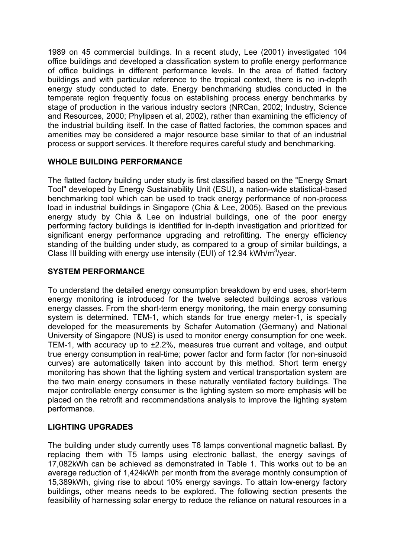1989 on 45 commercial buildings. In a recent study, Lee (2001) investigated 104 office buildings and developed a classification system to profile energy performance of office buildings in different performance levels. In the area of flatted factory buildings and with particular reference to the tropical context, there is no in-depth energy study conducted to date. Energy benchmarking studies conducted in the temperate region frequently focus on establishing process energy benchmarks by stage of production in the various industry sectors (NRCan, 2002; Industry, Science and Resources, 2000; Phylipsen et al, 2002), rather than examining the efficiency of the industrial building itself. In the case of flatted factories, the common spaces and amenities may be considered a major resource base similar to that of an industrial process or support services. It therefore requires careful study and benchmarking.

## **WHOLE BUILDING PERFORMANCE**

The flatted factory building under study is first classified based on the "Energy Smart Tool" developed by Energy Sustainability Unit (ESU), a nation-wide statistical-based benchmarking tool which can be used to track energy performance of non-process load in industrial buildings in Singapore (Chia & Lee, 2005). Based on the previous energy study by Chia & Lee on industrial buildings, one of the poor energy performing factory buildings is identified for in-depth investigation and prioritized for significant energy performance upgrading and retrofitting. The energy efficiency standing of the building under study, as compared to a group of similar buildings, a Class III building with energy use intensity (EUI) of 12.94 kWh/m<sup>3</sup>/year.

# **SYSTEM PERFORMANCE**

To understand the detailed energy consumption breakdown by end uses, short-term energy monitoring is introduced for the twelve selected buildings across various energy classes. From the short-term energy monitoring, the main energy consuming system is determined. TEM-1, which stands for true energy meter-1, is specially developed for the measurements by Schafer Automation (Germany) and National University of Singapore (NUS) is used to monitor energy consumption for one week. TEM-1, with accuracy up to ±2.2%, measures true current and voltage, and output true energy consumption in real-time; power factor and form factor (for non-sinusoid curves) are automatically taken into account by this method. Short term energy monitoring has shown that the lighting system and vertical transportation system are the two main energy consumers in these naturally ventilated factory buildings. The major controllable energy consumer is the lighting system so more emphasis will be placed on the retrofit and recommendations analysis to improve the lighting system performance.

# **LIGHTING UPGRADES**

The building under study currently uses T8 lamps conventional magnetic ballast. By replacing them with T5 lamps using electronic ballast, the energy savings of 17,082kWh can be achieved as demonstrated in Table 1. This works out to be an average reduction of 1,424kWh per month from the average monthly consumption of 15,389kWh, giving rise to about 10% energy savings. To attain low-energy factory buildings, other means needs to be explored. The following section presents the feasibility of harnessing solar energy to reduce the reliance on natural resources in a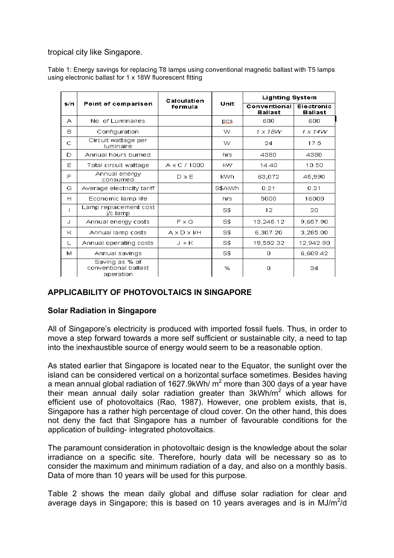tropical city like Singapore.

Table 1: Energy savings for replacing T8 lamps using conventional magnetic ballast with T5 lamps using electronic ballast for 1 x 18W fluorescent fitting

|     |                                                     | Calculation         |            | <b>Lighting System</b>         |                              |  |
|-----|-----------------------------------------------------|---------------------|------------|--------------------------------|------------------------------|--|
| s/n | Point of comparison                                 | formula             | Unit       | Conventional<br><b>Ballast</b> | Electronic<br><b>Ballast</b> |  |
| А   | No. of Luminaires                                   |                     | pcs        | 600                            | 600                          |  |
| в   | Configuration                                       |                     | w          | 1 x 18W                        | 1 x 14W                      |  |
| C   | Circuit wattage per<br>luminaire                    |                     | w          | 24                             | 17.5                         |  |
| D   | Annual hours burned                                 |                     | hrs        | 4380                           | 4380                         |  |
| Ε   | Total circuit wattage                               | $A \times C / 1000$ | KW.        | 14.40                          | 10.50                        |  |
| F   | Annual energy<br>consumed                           | $D \times E$        | <b>KWh</b> | 63,072                         | 45,990                       |  |
| G   | Average electricity tariff                          |                     | S\$/kWh    | D 21                           | 0.21                         |  |
| H   | Economic lamp life                                  |                     | hrs.       | 5000                           | 16000                        |  |
| T   | Lamp replacement cost<br>j/c lamp                   |                     | S\$        | 12                             | 20                           |  |
| J   | Annual energy costs                                 | <b>F</b> x G        | S\$        | 13,245.12                      | 9,657.90                     |  |
| Κ   | Annual lamp costs                                   | $AX$ D $X$ $V$ H    | S\$        | 6,307.20                       | 3.285.00                     |  |
| L   | Annual operating costs                              | $J + K$             | S\$        | 19,552.32                      | 12,942.90                    |  |
| м   | Annual savings                                      |                     | S\$        | Ω                              | 6,609.42                     |  |
|     | Saving as % of<br>conventional ballast<br>operation |                     | %          | 0                              | 34                           |  |

## **APPLICABILITY OF PHOTOVOLTAICS IN SINGAPORE**

#### **Solar Radiation in Singapore**

All of Singapore's electricity is produced with imported fossil fuels. Thus, in order to move a step forward towards a more self sufficient or sustainable city, a need to tap into the inexhaustible source of energy would seem to be a reasonable option.

As stated earlier that Singapore is located near to the Equator, the sunlight over the island can be considered vertical on a horizontal surface sometimes. Besides having a mean annual global radiation of 1627.9kWh/ m<sup>2</sup> more than 300 days of a year have their mean annual daily solar radiation greater than  $3kWh/m<sup>2</sup>$  which allows for efficient use of photovoltaics (Rao, 1987). However, one problem exists, that is, Singapore has a rather high percentage of cloud cover. On the other hand, this does not deny the fact that Singapore has a number of favourable conditions for the application of building- integrated photovoltaics.

The paramount consideration in photovoltaic design is the knowledge about the solar irradiance on a specific site. Therefore, hourly data will be necessary so as to consider the maximum and minimum radiation of a day, and also on a monthly basis. Data of more than 10 years will be used for this purpose.

Table 2 shows the mean daily global and diffuse solar radiation for clear and average days in Singapore; this is based on 10 years averages and is in MJ/m<sup>2</sup>/d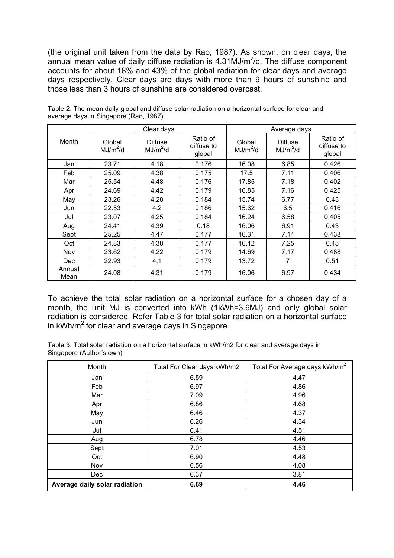(the original unit taken from the data by Rao, 1987). As shown, on clear days, the annual mean value of daily diffuse radiation is  $4.31 \text{MJ/m}^2$ /d. The diffuse component accounts for about 18% and 43% of the global radiation for clear days and average days respectively. Clear days are days with more than 9 hours of sunshine and those less than 3 hours of sunshine are considered overcast.

|                | Clear days                     |                                        |                                  | Average days                   |                                        |                                  |
|----------------|--------------------------------|----------------------------------------|----------------------------------|--------------------------------|----------------------------------------|----------------------------------|
| Month          | Global<br>MJ/m <sup>2</sup> /d | <b>Diffuse</b><br>MJ/m <sup>2</sup> /d | Ratio of<br>diffuse to<br>global | Global<br>MJ/m <sup>2</sup> /d | <b>Diffuse</b><br>MJ/m <sup>2</sup> /d | Ratio of<br>diffuse to<br>global |
| Jan            | 23.71                          | 4.18                                   | 0.176                            | 16.08                          | 6.85                                   | 0.426                            |
| Feb            | 25.09                          | 4.38                                   | 0.175                            | 17.5                           | 7.11                                   | 0.406                            |
| Mar            | 25.54                          | 4.48                                   | 0.176                            | 17.85                          | 7.18                                   | 0.402                            |
| Apr            | 24.69                          | 4.42                                   | 0.179                            | 16.85                          | 7.16                                   | 0.425                            |
| May            | 23.26                          | 4.28                                   | 0.184                            | 15.74                          | 6.77                                   | 0.43                             |
| Jun            | 22.53                          | 4.2                                    | 0.186                            | 15.62                          | 6.5                                    | 0.416                            |
| Jul            | 23.07                          | 4.25                                   | 0.184                            | 16.24                          | 6.58                                   | 0.405                            |
| Aug            | 24.41                          | 4.39                                   | 0.18                             | 16.06                          | 6.91                                   | 0.43                             |
| Sept           | 25.25                          | 4.47                                   | 0.177                            | 16.31                          | 7.14                                   | 0.438                            |
| Oct            | 24.83                          | 4.38                                   | 0.177                            | 16.12                          | 7.25                                   | 0.45                             |
| Nov            | 23.62                          | 4.22                                   | 0.179                            | 14.69                          | 7.17                                   | 0.488                            |
| <b>Dec</b>     | 22.93                          | 4.1                                    | 0.179                            | 13.72                          | 7                                      | 0.51                             |
| Annual<br>Mean | 24.08                          | 4.31                                   | 0.179                            | 16.06                          | 6.97                                   | 0.434                            |

Table 2: The mean daily global and diffuse solar radiation on a horizontal surface for clear and average days in Singapore (Rao, 1987)

To achieve the total solar radiation on a horizontal surface for a chosen day of a month, the unit MJ is converted into kWh (1kWh=3.6MJ) and only global solar radiation is considered. Refer Table 3 for total solar radiation on a horizontal surface in kWh/m<sup>2</sup> for clear and average days in Singapore.

Table 3: Total solar radiation on a horizontal surface in kWh/m2 for clear and average days in Singapore (Author's own)

| Month                         | Total For Clear days kWh/m2 | Total For Average days kWh/m <sup>2</sup> |  |
|-------------------------------|-----------------------------|-------------------------------------------|--|
| Jan                           | 6.59                        | 4.47                                      |  |
| Feb                           | 6.97                        | 4.86                                      |  |
| Mar                           | 7.09                        | 4.96                                      |  |
| Apr                           | 6.86                        | 4.68                                      |  |
| May                           | 6.46                        | 4.37                                      |  |
| Jun                           | 6.26                        | 4.34                                      |  |
| Jul                           | 6.41                        | 4.51                                      |  |
| Aug                           | 6.78                        | 4.46                                      |  |
| Sept                          | 7.01                        | 4.53                                      |  |
| Oct                           | 6.90                        | 4.48                                      |  |
| Nov                           | 6.56                        | 4.08                                      |  |
| Dec                           | 6.37                        | 3.81                                      |  |
| Average daily solar radiation | 6.69                        | 4.46                                      |  |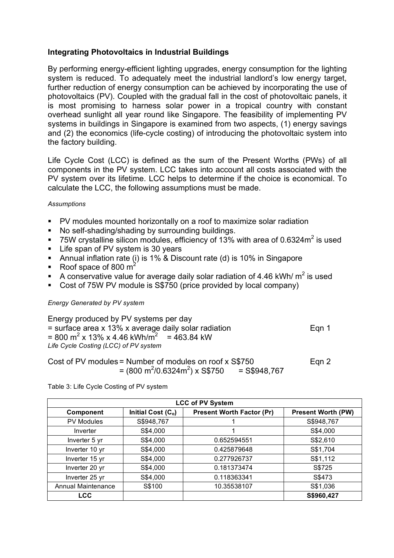#### **Integrating Photovoltaics in Industrial Buildings**

By performing energy-efficient lighting upgrades, energy consumption for the lighting system is reduced. To adequately meet the industrial landlord's low energy target, further reduction of energy consumption can be achieved by incorporating the use of photovoltaics (PV). Coupled with the gradual fall in the cost of photovoltaic panels, it is most promising to harness solar power in a tropical country with constant overhead sunlight all year round like Singapore. The feasibility of implementing PV systems in buildings in Singapore is examined from two aspects, (1) energy savings and (2) the economics (life-cycle costing) of introducing the photovoltaic system into the factory building.

Life Cycle Cost (LCC) is defined as the sum of the Present Worths (PWs) of all components in the PV system. LCC takes into account all costs associated with the PV system over its lifetime. LCC helps to determine if the choice is economical. To calculate the LCC, the following assumptions must be made.

#### *Assumptions*

- PV modules mounted horizontally on a roof to maximize solar radiation
- No self-shading/shading by surrounding buildings.
- 75W crystalline silicon modules, efficiency of 13% with area of 0.6324 $m^2$  is used
- Life span of PV system is 30 years
- Annual inflation rate (i) is 1% & Discount rate (d) is 10% in Singapore
- Roof space of 800  $m^2$
- A conservative value for average daily solar radiation of 4.46 kWh/  $m^2$  is used
- Cost of 75W PV module is S\$750 (price provided by local company)

#### *Energy Generated by PV system*

| Energy produced by PV systems per day                                           |       |
|---------------------------------------------------------------------------------|-------|
| $=$ surface area x 13% x average daily solar radiation                          | Egn 1 |
| $= 800 \text{ m}^2 \times 13\% \times 4.46 \text{ kWh/m}^2 = 463.84 \text{ kW}$ |       |
| Life Cycle Costing (LCC) of PV system                                           |       |
|                                                                                 |       |

#### Cost of PV modules = Number of modules on roof x S\$750 Eqn 2  $= (800 \text{ m}^2/0.6324 \text{ m}^2) \times \text{S} \$750 = \text{S} \$948.767$

Table 3: Life Cycle Costing of PV system

| <b>LCC of PV System</b>   |                                |                                  |                           |  |  |
|---------------------------|--------------------------------|----------------------------------|---------------------------|--|--|
| <b>Component</b>          | Initial Cost (C <sub>o</sub> ) | <b>Present Worth Factor (Pr)</b> | <b>Present Worth (PW)</b> |  |  |
| <b>PV Modules</b>         | S\$948,767                     |                                  | S\$948,767                |  |  |
| Inverter                  | S\$4,000                       |                                  | S\$4,000                  |  |  |
| Inverter 5 yr             | S\$4,000                       | 0.652594551                      | S\$2,610                  |  |  |
| Inverter 10 yr            | S\$4,000                       | 0.425879648                      | S\$1,704                  |  |  |
| Inverter 15 yr            | S\$4,000                       | 0.277926737                      | S\$1,112                  |  |  |
| Inverter 20 yr            | S\$4,000                       | 0.181373474                      | S\$725                    |  |  |
| Inverter 25 yr            | S\$4,000                       | 0.118363341                      | S\$473                    |  |  |
| <b>Annual Maintenance</b> | S\$100                         | 10.35538107                      | S\$1,036                  |  |  |
| <b>LCC</b>                |                                |                                  | S\$960,427                |  |  |